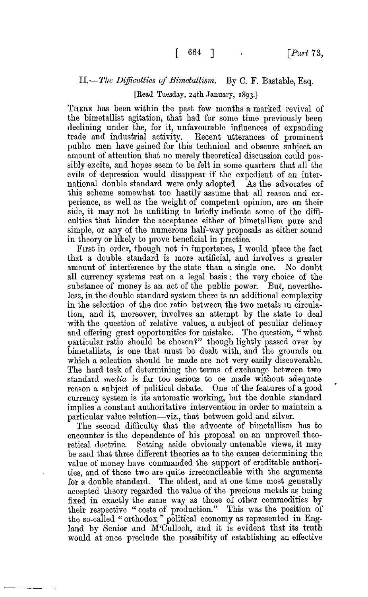## II.—*The Difficulties of Bimetallism.* By C. F. Bastable, Esq.

## [Read Tuesday, 24th January, 1893.]

THERE has been within the past few months a marked revival of the bimetallist agitation, that had for some time previously been declining under the, for it, unfavourable influences of expanding trade and industrial activity. Recent utterances of prominent public men have gained for this technical and obscure subject an amount of attention that no merely theoretical discussion could possibly excite, and hopes seem to be felt in some quarters that all the evils of depression would disappear if the expedient of an international double standard were only adopted As the advocates of this scheme somewhat too hastily assume that all reason and experience, as well as the weight of competent opinion, are on their side, it may not be unfitting to briefly indicate some of the difficulties that hinder the acceptance either of bimetallism pure and simple, or any of the numerous half-way proposals as either sound in theory or likely to prove beneficial in practice.

First in order, though not in importance, I would place the fact that a double standard is more artificial, and involves a greater amount of interference by the state than a single one. *No* doubt all currency systems rest on a legal basis : the very choice of the substance of money is an act of the public power. But, nevertheless, in the double standard system there is an additional complexity in the selection of the due ratio between the two metals in circulation, and it, moreover, involves an attempt by the state to deal with the question of relative values, a subject of peculiar delicacy and offering great opportunities for mistake. The question, " what particular ratio should be chosen?" though lightly passed over by bimetallists, is one that must be dealt with, and the grounds on which a selection should be made are not very easily discoverable. The hard task of determining the terms of exchange between two standard *media* is far too serious to oe made without adequate reason a subject of political debate. One of the features of a good currency system is its automatic working, but the double standard implies a constant authoritative intervention in order to maintain a particular value relation—viz., that between gold and silver.

The second difficulty that the advocate of bimetallism has to encounter is the dependence of his proposal on an unproved theoretical doctrine. Setting aside obviously untenable views, it may be said that three different theories as to the causes determining the value of money have commanded the support of creditable authorities, and of these two are quite irreconcileable with the arguments for a double standard. The oldest, and at one time most generally accepted theory regarded the value of the precious metals as being fixed in exactly the same way as those of other commodities by their respective " costs of production." This was the position of the so-called " orthodox " political economy as represented in England by Senior and M'Culloch, and it is evident that its truth would at once preclude the possibility of establishing an effective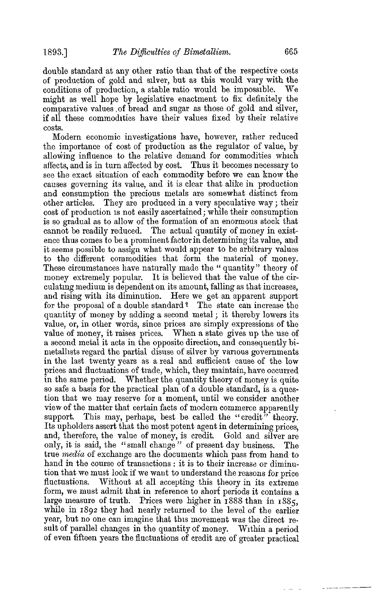double standard at any other ratio than that of the respective costs of production of gold and silver, but as this would vary with the conditions of production, a stable ratio would be impossible. We might as well hope by legislative enactment to fix definitely the comparative values, of bread and sugar as those of gold and silver, if all these commodities have their values fixed by their relative costs.

Modern economic investigations have, however, rather reduced the importance of cost of production as the regulator of value, by allowing influence to the relative demand for commodities which affects, and is in turn affected by cost. Thus it becomes necessary to see the exact situation of each commodity before we can know the causes governing its value, and it is clear that alike in production and consumption the precious metals are somewhat distinct from other articles. They are produced in a very speculative way; their cost of production is not easily ascertained; while their consumption is so gradual as to allow of the formation of an enormous stock that cannot be readily reduced. The actual quantity of money in existence thus comes to be a prominent factor in determining its value, and it seems possible to assign what would appear to be arbitrary values to the different commodities that form the material of money. These circumstances have naturally made the "quantity" theory of money extremely popular. It is believed that the value of the circulating medium is dependent on its amount, falling as that increases, and rising with its diminution. Here we get an apparent support for the proposal of a double standard<sup>?</sup> The state can increase the quantity of money by adding a second metal; it thereby lowers its value, or, in other words, since prices are simply expressions of the value of money, it raises prices. When a state gives up the use of a second metal it acts in the opposite direction, and consequently bimetalhsts regard the partial disuse of silver by various governments in the last twenty years as a real and sufficient cause of the low prices and fluctuations of trade, which, they maintain, have occurred in the same period. Whether the quantity theory of money is quite so safe a basis for the practical plan of a double standard, is a question that we may reserve for a moment, until we consider another view of the matter that certain facts of modern commerce apparently support. This may, perhaps, best be called the "credit" theory. Its upholders assert that the most potent agent in determining prices, and, therefore, the value of money, is credit. Gold and silver are only, it is said, the "small change" of present day business. The true *media* of exchange are the documents which pass from hand to hand in the course of transactions : it is to their increase or diminution that we must look if we want to understand the reasons for price fluctuations. Without at all accepting this theory in its extreme form, we must admit that in reference to short periods it contains a large measure of truth. Prices were higher in 1888 than in 1885, while in 1892 they had nearly returned to the level of the earlier year, but no one can imagine that this movement was the direct result of parallel changes in the quantity of money. Within a period of even fifteen years the fluctuations of credit are of greater practical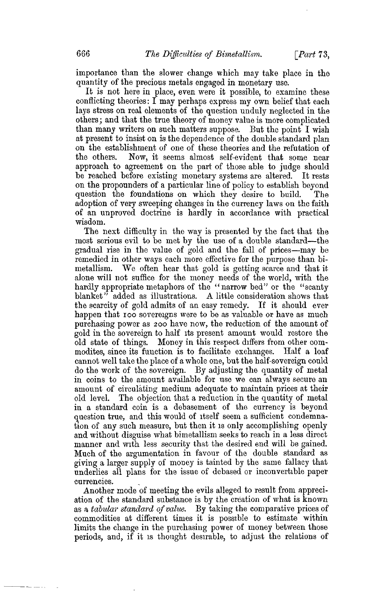importance than the slower change which may take place in the quantity of the precious metals engaged in monetary use.

It is not here in place, even were it possible, to examine these conflicting theories: I may perhaps express my own belief that each lays stress on real elements of the question unduly neglected in the others; and that the true theory of money value is more complicated than many writers on such matters suppose. But the point I wish at present to insist on is the dependence of the double standard plan on the establishment of one of these theories and the refutation of the others. Now, it seems almost self-evident that some near approach to agreement on the part of those able to judge should be reached before existing monetary systems are altered. It rests on the propounders of a particular line of policy to establish beyond question the foundations on which they desire to build. The adoption of very sweeping changes in the currency laws on the faith of an unproved doctrine is hardly in accordance with practical wisdom.

The next difficulty in the way is presented by the fact that the most serious evil to be met by the use of a double standard—the gradual rise in the value of gold and the fall of prices—may be remedied in other ways each more effective for the purpose than bimetallism. We often hear that gold is getting scarce and that it alone will not suffice for the money needs of the world, with the hardly appropriate metaphors of the " narrow bed" or the "scanty blanket" added as illustrations. A little consideration shows that the scarcity of gold admits of an easy remedy. If it should ever happen that ioo sovereigns were to be as valuable or have as much purchasing power as 200 have now, the reduction of the amount of gold in the sovereign to half its present amount would restore the old state of things. Money in this respect differs from other commodites, since its function is to facilitate exchanges. Half a loaf cannot well take the place of a whole one, but the half-sovereign could do the work of the sovereign. By adjusting the quantity of metal in coins to the amount available for use we can always secure an amount of circulating medium adequate to maintain prices at their old level. The objection that a reduction in the quantity of metal in a standard coin is a debasement of the currency is beyond question true, and this would of itself seem a sufficient condemnation of any such measure, but then it is only accomplishing openly and without disguise what bimetallism seeks to reach in a less direct manner and with less security that the desired end will be gained. Much of the argumentation in favour of the double standard as giving a larger supply of money is tainted by the same fallacy that underlies all plans for the issue of debased or inconvertible paper currencies.

Another mode of meeting the evils alleged to result from appreciation of the standard substance is by the creation of what is known as a *tabular standard of value.* By taking the comparative prices of commodities at different times it is possible to estimate within limits the change in the purchasing power of money between those periods, and, if it is thought desirable, to adjust the relations of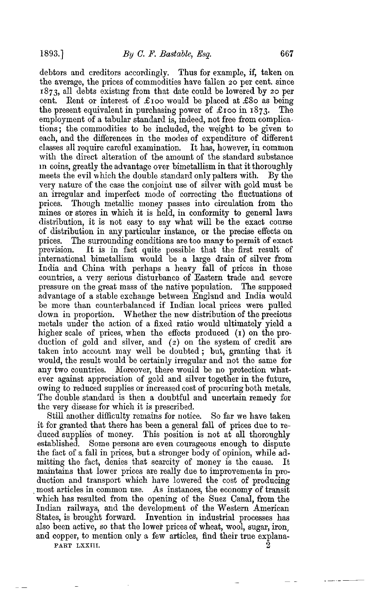debtors and creditors accordingly. Thus for example, if, taken on the average, the prices of commodities have fallen 20 per cent, since 1873, all debts existing from that date could be lowered by 20 per cent. Rent or interest of £100 would be placed at £80 as being the present equivalent in purchasing power of £100 in 1873. The employment of a tabular standard is, indeed, not free from complications ; the commodities to be included, the weight to be given to each, and the differences in the modes of expenditure of different classes all require careful examination. It has, however, in common with the direct alteration of the amount of the standard substance in coins, greatly the advantage over bimetallism in that it thoroughly meets the evil which the double standard only palters with. By the very nature of the case the conjoint use of silver with gold must be an irregular and imperfect mode of correcting the fluctuations of prices. Though metallic money passes into circulation from the mines or stores in which it is held, in conformity to general laws distribution, it is not easy to say what will be the exact course of distribution in any particular instance, or the precise effects on prices. The surrounding conditions are too many to permit of exact prevision. It is in fact quite possible that the first result of international bimetallism would be a large drain of silver from India and China with perhaps a heavy fall of prices in those countries, a very serious disturbance of Eastern trade and severe pressure on the great mass of the native population. The supposed advantage of a stable exchange between England and India would be more than counterbalanced if Indian local prices were pulled down in proportion. Whether the new distribution of the precious metals under the action of a fixed ratio would ultimately yield a higher scale of prices, when the effects produced (1) on the production of gold and silver, and (2) on the system of credit are taken into account may well be doubted ; but, granting that it would, the result would be certainly irregular and not the same for any two countries. Moreover, there would be no protection whatever against appreciation of gold and silver together in the future, owing to reduced supplies or increased cost of procuring both metals. The double standard is then a doubtful and uncertain remedy for the very disease for which it is prescribed.

Still another difficulty remains for notice. So far we have taken it for granted that there has been a general fall of prices due to reduced supplies of money. This position is not at all thoroughly established. Some persons are even courageous enough to dispute the fact of a fall in prices, but a stronger body of opinion, while admitting the fact, denies that scarcity of money is the cause. It maintains that lower prices are really due to improvements in production and transport which have lowered the cost of producing . most articles in common use. As instances, the economy of transit which has resulted from the opening of the Suez Canal, from the Indian railways, and the development of the Western American States, is brought forward. Invention in industrial processes has also been active, so that the lower prices of wheat, wool, sugar, iron, and copper, to mention only a few articles, find their true explana-PART LXXIII.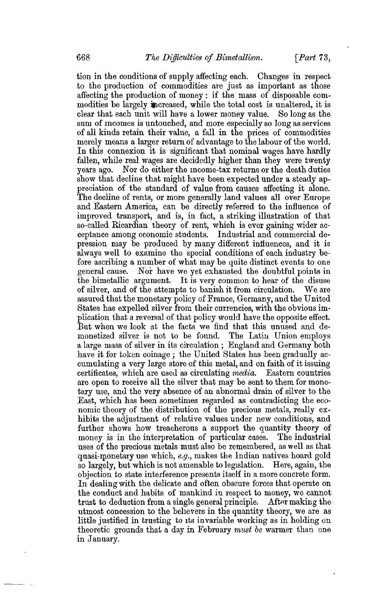tion in the conditions of supply affecting each. Changes in respect to the production of commodities are just as important as those affecting the production of money : if the mass of disposable commodities be largely increased, while the total cost is unaltered, it is clear that each unit will have a lower money value. So long as the sum of incomes is untouched, and more especially so long as services of all kinds retain their value, a fall in the prices of commodities merely means a larger return of advantage to the labour of the world. In this connexion it is significant that nominal wages have hardly fallen, while real wages are decidedly higher than they were twenty years ago. Nor do either the income-tax returns or the death duties show that decline that might have been expected under a steady appreciation of the standard of value from causes affecting it alone. The decline of rents, or more generally land values all over Europe and Eastern America, can be directly referred to the influence of improved transport, and is, in fact, a striking illustration of that so-called Ricardian theory of rent, which is ever gaining wider acceptance among economic students. Industrial and commercial depression may be produced by many different influences, and it is always well to examine the special conditions of each industry before ascribing a number of what may be quite distinct events to one general cause. Nor have we yet exhausted the doubtful points in the bimetallic argument. It is very common to hear of the disuse of silver, and of the attempts to banish it from circulation. We are assured that the monetary policy of France, Germany, and the United States has expelled silver from their currencies, with the obvious implication that a reversal of that policy would have the opposite effect. But when we look at the facts we find that this unused and demonetized silver is not to be found. The Latin Union employs a large mass of silver in its circulation ; England and Germany both have it for token coinage ; the United States has been gradually accumulating a very large store of this metal, and on faith of it issuing certificates, which are used as circulating *media.* Eastern countries are open to receive all the silver that may be sent to them for monetary use, and the very absence of an abnormal drain of silver to the East, which has been sometimes regarded as contradicting the economic theory of the distribution of the precious metals, really exhibits the adjustment of relative values under new conditions, and further shows how treacherous a support the quantity theory of money is in the interpretation of particular cases. The industrial uses of the precious metals must also be remembered, as well as that quasi-monetary use which, *e.g.,* makes the Indian natives hoard gold so largely, but which is not amenable to legislation. Here, again, the objection to state interference presents itself in a more concrete form. In dealing with the delicate and often obscure forces that operate on the conduct and habits of mankind in respect to money, we cannot trust to deduction from a single general principle. After making the utmost concession to the believers in the quantity theory, we are as little justified in trusting to its invariable working as in holding on theoretic grounds that a day in February *must be* warmer than one in January.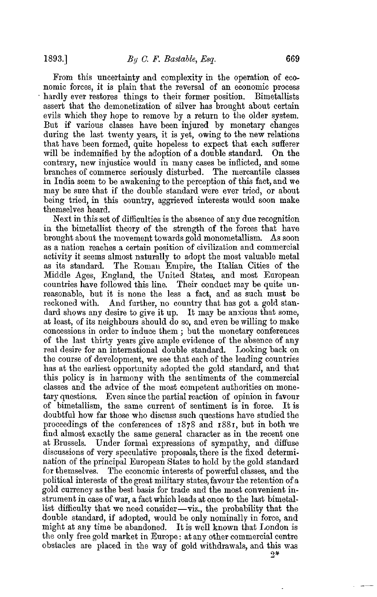From this uncertainty and complexity in the operation of economic forces, it is plain that the reversal of an economic process hardly ever restores things to their former position. Bimetallists assert that the demonetization of silver has brought about certain evils which they hope to remove by a return to the older system. But if various classes have been injured by monetary changes during the last twenty years, it is yet, owing to the new relations that have been formed, quite hopeless to expect that each sufferer will be indemnified by the adoption of a double standard. On the contrary, new injustice would in many cases be inflicted, and some branches of commerce seriously disturbed. The mercantile classes in India seem to be awakening to the perception of this fact, and we may be sure that if the double standard were ever tried, or about being tried, in this country, aggrieved interests would soon make themselves heard.

Next in this set of difficulties is the absence of any due recognition in the bimetallist theory of the strength of the forces that have brought about the movement towards gold monometallism. As soon as a nation reaches a certain position of civilization and commercial activity it seems almost naturally to adopt the most valuable metal as its standard. The Roman Empire, the Italian Cities of the Middle Ages, England, the United States, and most European countries have followed this line. Their conduct may be quite unreasonable, but it is none the less a fact, and as such must be reckoned with. And further, no country that has got a gold standard shows any desire to give it up. It may be anxious that some, at least, of its neighbours should do so, and even be willing to make concessions in order to induce them ; but the monetary conferences of the last thirty years give ample evidence of the absence of any real desire for an international double standard. Looking back on the course of development, we see that each of the leading countries has at the earliest opportunity adopted the gold standard, and that this policy is in harmony with the sentiments of the commercial classes and the advice of the most competent authorities on monetary questions. Even since the partial reaction of opinion in favour of bimetallism, the same current of sentiment is in force. It is doubtful how far those who discuss such questions have studied the proceedings of the conferences of 1878 and 1881, but in both we find almost exactly the same general character as in the recent one at Brussels. Under formal expressions of sympathy, and diffuse discussions of very speculative proposals, there is the fixed determination of the principal European States to hold by the gold standard for themselves. The economic interests of powerful classes, and the political interests of the great military states, favour the retention of a gold currency as the best basis for trade and the most convenient instrument in case of war, a fact which leads at once to the last bimetallist difficulty that we need consider—viz., the probability that the double standard, if adopted, would be only nominally in force, and might at any time be abandoned. It is well known that London is the only free gold market in Europe: at any other commercial centre obstacles are placed in the way of gold withdrawals, and this was

 $2*$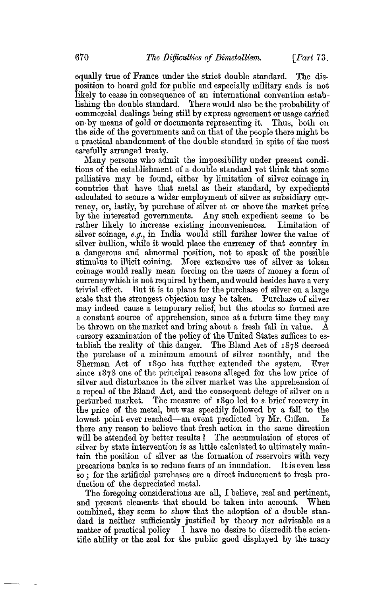equally true of France under the strict double standard. The disposition to hoard gold for public and especially military ends is not likely to cease in consequence of an international convention establishing the double standard. There would also be the probability of commercial dealings being still by express agreement or usage carried on by means of gold or documents representing it. Thus, both on the side of the governments and on that of the people there might be a practical abandonment of the double standard in spite of the most carefully arranged treaty.

Many persons who admit the impossibility under present conditions of the establishment of a double standard yet think that some palliative may be found, either by limitation of silver coinage in countries that have that metal as their standard, by expedients calculated to secure a wider employment of silver as subsidiary currency, or, lastly, by purchase of silver at or above the market price by the interested governments. Any such expedient seems to be rather likely to increase existing inconveniences. Limitation of silver coinage, *e.g.,* in India would still further lower the value of silver bullion, while it would place the currency of that country in a dangerous and abnormal position, not to speak of the possible stimulus to illicit coining. More extensive use of silver as token coinage would really mean forcing on the users of money a form of currency which is not required by them, and would besides have a very trivial effect. But it is to plans for the purchase of silver on a large scale that the strongest objection may be taken. Purchase of silver may indeed cause a temporary relief, but the stocks so formed are a constant source of apprehension, since at a future time they may be thrown on the market and bring about a fresh fall in value. A cursory examination of the policy of the United States suffices to establish the reality of this danger. The Bland Act of 1878 decreed the purchase of a minimum amount of silver monthly, and the Sherman Act of 1890 has further extended the system. Ever since 1878 one of the principal reasons alleged for the low price of silver and disturbance in the silver market was the apprehension of a repeal of the Bland Act, and the consequent deluge of silver on a perturbed market. The measure of 1890 led to a brief recovery in the price of the metal, but was speedily followed by a fall to the lowest point ever reached—an event predicted by Mr. Giffen. Is there any reason to believe that fresh action in the same direction will be attended by better results? The accumulation of stores of silver by state intervention is as little calculated to ultimately maintain the position of silver as the formation of reservoirs with very precarious banks is to reduce fears of an inundation. Et is even less so; for the artificial purchases are a direct inducement to fresh production of the depreciated metal.

The foregoing considerations are all, I believe, real and pertinent, and present elements that should be taken into account. When combined, they seem to show that the adoption of a double standard is neither sufficiently justified by theory nor advisable as a matter of practical policy I have no desire to discredit the scien-I have no desire to discredit the scientific ability or the zeal for the public good displayed by the many